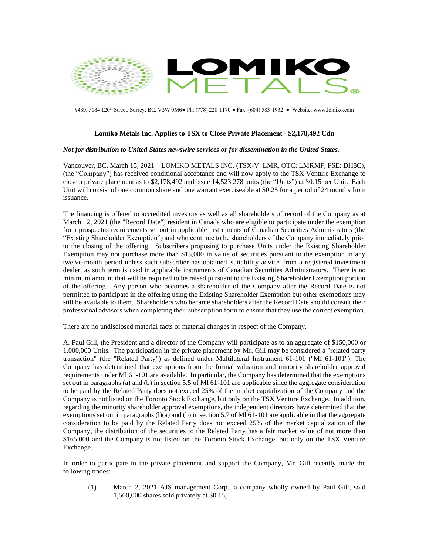

#439, 7184 120<sup>th</sup> Street, Surrey, BC, V3W 0M6● Ph: (778) 228-1170 • Fax: (604) 583-1932 • Website: www.lomiko.com

## **Lomiko Metals Inc. Applies to TSX to Close Private Placement - \$2,178,492 Cdn**

## *Not for distribution to United States newswire services or for dissemination in the United States.*

Vancouver, BC, March 15, 2021 – LOMIKO METALS INC. (TSX-V: LMR, OTC: LMRMF, FSE: DH8C), (the "Company") has received conditional acceptance and will now apply to the TSX Venture Exchange to close a private placement as to \$2,178,492 and issue 14,523,278 units (the "Units") at \$0.15 per Unit. Each Unit will consist of one common share and one warrant exerciseable at \$0.25 for a period of 24 months from issuance.

The financing is offered to accredited investors as well as all shareholders of record of the Company as at March 12, 2021 (the "Record Date") resident in Canada who are eligible to participate under the exemption from prospectus requirements set out in applicable instruments of Canadian Securities Administrators (the "Existing Shareholder Exemption") and who continue to be shareholders of the Company immediately prior to the closing of the offering. Subscribers proposing to purchase Units under the Existing Shareholder Exemption may not purchase more than \$15,000 in value of securities pursuant to the exemption in any twelve-month period unless such subscriber has obtained 'suitability advice' from a registered investment dealer, as such term is used in applicable instruments of Canadian Securities Administrators. There is no minimum amount that will be required to be raised pursuant to the Existing Shareholder Exemption portion of the offering. Any person who becomes a shareholder of the Company after the Record Date is not permitted to participate in the offering using the Existing Shareholder Exemption but other exemptions may still be available to them. Shareholders who became shareholders after the Record Date should consult their professional advisors when completing their subscription form to ensure that they use the correct exemption.

There are no undisclosed material facts or material changes in respect of the Company.

A. Paul Gill, the President and a director of the Company will participate as to an aggregate of \$150,000 or 1,000,000 Units. The participation in the private placement by Mr. Gill may be considered a "related party transaction" (the "Related Party") as defined under Multilateral Instrument 61-101 ("Ml 61-101"). The Company has determined that exemptions from the formal valuation and minority shareholder approval requirements under Ml 61-101 are available. In particular, the Company has determined that the exemptions set out in paragraphs (a) and (b) in section 5.5 of Ml 61-101 are applicable since the aggregate consideration to be paid by the Related Party does not exceed 25% of the market capitalization of the Company and the Company is not listed on the Toronto Stock Exchange, but only on the TSX Venture Exchange. In addition, regarding the minority shareholder approval exemptions, the independent directors have determined that the exemptions set out in paragraphs  $(l)(a)$  and  $(b)$  in section 5.7 of Ml 61-101 are applicable in that the aggregate consideration to be paid by the Related Party does not exceed 25% of the market capitalization of the Company, the distribution of the securities to the Related Party has a fair market value of not more than \$165,000 and the Company is not listed on the Toronto Stock Exchange, but only on the TSX Venture Exchange.

In order to participate in the private placement and support the Company, Mr. Gill recently made the following trades:

(1) March 2, 2021 AJS management Corp., a company wholly owned by Paul Gill, sold 1,500,000 shares sold privately at \$0.15;